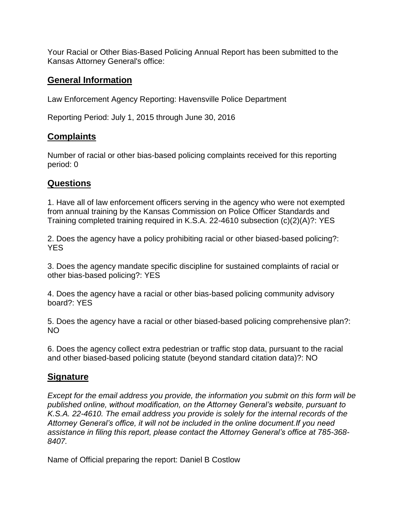Your Racial or Other Bias-Based Policing Annual Report has been submitted to the Kansas Attorney General's office:

# **General Information**

Law Enforcement Agency Reporting: Havensville Police Department

Reporting Period: July 1, 2015 through June 30, 2016

# **Complaints**

Number of racial or other bias-based policing complaints received for this reporting period: 0

## **Questions**

1. Have all of law enforcement officers serving in the agency who were not exempted from annual training by the Kansas Commission on Police Officer Standards and Training completed training required in K.S.A. 22-4610 subsection (c)(2)(A)?: YES

2. Does the agency have a policy prohibiting racial or other biased-based policing?: YES

3. Does the agency mandate specific discipline for sustained complaints of racial or other bias-based policing?: YES

4. Does the agency have a racial or other bias-based policing community advisory board?: YES

5. Does the agency have a racial or other biased-based policing comprehensive plan?: NO

6. Does the agency collect extra pedestrian or traffic stop data, pursuant to the racial and other biased-based policing statute (beyond standard citation data)?: NO

## **Signature**

*Except for the email address you provide, the information you submit on this form will be published online, without modification, on the Attorney General's website, pursuant to K.S.A. 22-4610. The email address you provide is solely for the internal records of the Attorney General's office, it will not be included in the online document.If you need assistance in filing this report, please contact the Attorney General's office at 785-368- 8407.*

Name of Official preparing the report: Daniel B Costlow